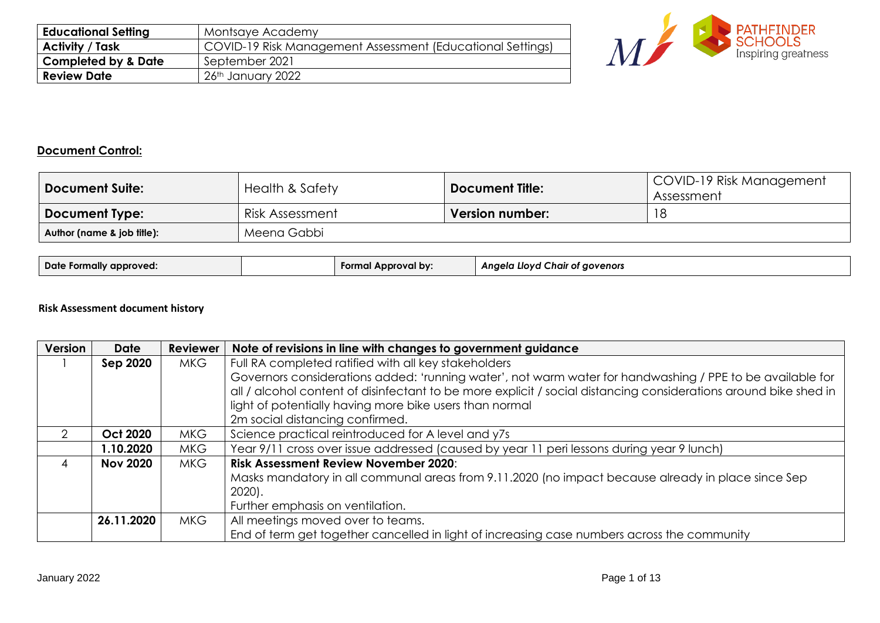| <b>Educational Setting</b>     | Montsaye Academy                                           |
|--------------------------------|------------------------------------------------------------|
| <b>Activity / Task</b>         | COVID-19 Risk Management Assessment (Educational Settings) |
| <b>Completed by &amp; Date</b> | September 2021                                             |
| <b>Review Date</b>             | 26th January 2022                                          |



# **Document Control:**

| <b>Document Suite:</b>                    | <b>Health &amp; Safety</b> | <b>Document Title:</b> | COVID-19 Risk Management<br>Assessment |  |  |
|-------------------------------------------|----------------------------|------------------------|----------------------------------------|--|--|
| <b>Document Type:</b>                     | Risk Assessment            | <b>Version number:</b> |                                        |  |  |
| Meena Gabbi<br>Author (name & job title): |                            |                        |                                        |  |  |

| Date<br>approved.<br><b>rormally</b> | l bv:<br>Forma | ' aovenors<br>110VC<br>Angela<br>naır or |
|--------------------------------------|----------------|------------------------------------------|
|--------------------------------------|----------------|------------------------------------------|

## **Risk Assessment document history**

| Version | <b>Date</b>     | <b>Reviewer</b> | Note of revisions in line with changes to government guidance                                                    |  |  |  |
|---------|-----------------|-----------------|------------------------------------------------------------------------------------------------------------------|--|--|--|
|         | Sep 2020        | <b>MKG</b>      | Full RA completed ratified with all key stakeholders                                                             |  |  |  |
|         |                 |                 | Governors considerations added: 'running water', not warm water for handwashing / PPE to be available for        |  |  |  |
|         |                 |                 | all / alcohol content of disinfectant to be more explicit / social distancing considerations around bike shed in |  |  |  |
|         |                 |                 | light of potentially having more bike users than normal                                                          |  |  |  |
|         |                 |                 | 2m social distancing confirmed.                                                                                  |  |  |  |
|         | <b>Oct 2020</b> | <b>MKG</b>      | Science practical reintroduced for A level and y7s                                                               |  |  |  |
|         | 1.10.2020       | <b>MKG</b>      | Year 9/11 cross over issue addressed (caused by year 11 peri lessons during year 9 lunch)                        |  |  |  |
| 4       | <b>Nov 2020</b> | <b>MKG</b>      | <b>Risk Assessment Review November 2020:</b>                                                                     |  |  |  |
|         |                 |                 | Masks mandatory in all communal areas from 9.11.2020 (no impact because already in place since Sep               |  |  |  |
|         |                 |                 | $2020$ .                                                                                                         |  |  |  |
|         |                 |                 | Further emphasis on ventilation.                                                                                 |  |  |  |
|         | 26.11.2020      | <b>MKG</b>      | All meetings moved over to teams.                                                                                |  |  |  |
|         |                 |                 | End of term get together cancelled in light of increasing case numbers across the community                      |  |  |  |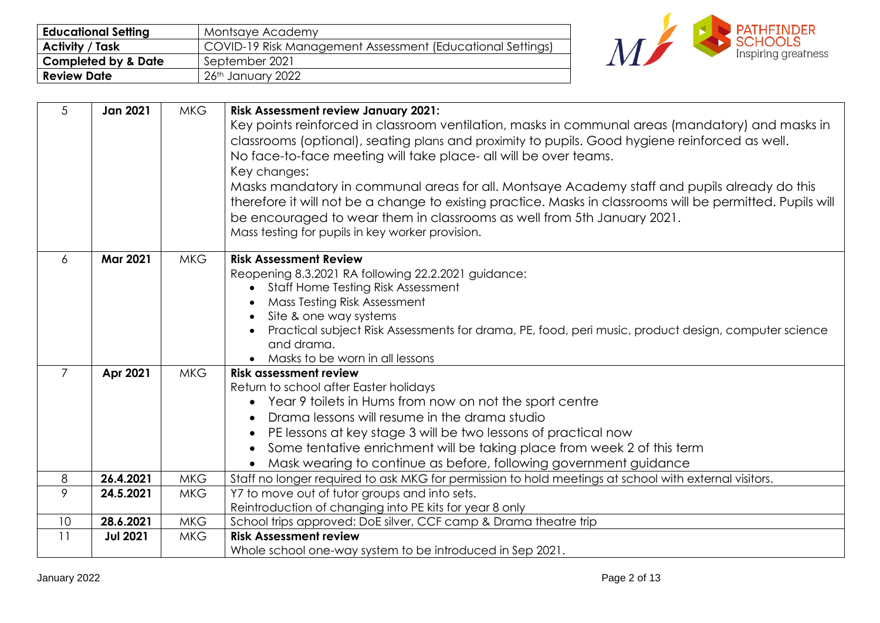| <b>Educational Setting</b>     | Montsaye Academy                                           |
|--------------------------------|------------------------------------------------------------|
| <b>Activity / Task</b>         | COVID-19 Risk Management Assessment (Educational Settings) |
| <b>Completed by &amp; Date</b> | September 2021                                             |
| <b>Review Date</b>             | 26th January 2022                                          |



| 5              | <b>Jan 2021</b> | <b>MKG</b> | <b>Risk Assessment review January 2021:</b>                                                                |  |  |  |
|----------------|-----------------|------------|------------------------------------------------------------------------------------------------------------|--|--|--|
|                |                 |            | Key points reinforced in classroom ventilation, masks in communal areas (mandatory) and masks in           |  |  |  |
|                |                 |            | classrooms (optional), seating plans and proximity to pupils. Good hygiene reinforced as well.             |  |  |  |
|                |                 |            | No face-to-face meeting will take place- all will be over teams.                                           |  |  |  |
|                |                 |            | Key changes:                                                                                               |  |  |  |
|                |                 |            | Masks mandatory in communal areas for all. Montsaye Academy staff and pupils already do this               |  |  |  |
|                |                 |            | therefore it will not be a change to existing practice. Masks in classrooms will be permitted. Pupils will |  |  |  |
|                |                 |            | be encouraged to wear them in classrooms as well from 5th January 2021.                                    |  |  |  |
|                |                 |            | Mass testing for pupils in key worker provision.                                                           |  |  |  |
| 6              | <b>Mar 2021</b> | <b>MKG</b> | <b>Risk Assessment Review</b>                                                                              |  |  |  |
|                |                 |            | Reopening 8.3.2021 RA following 22.2.2021 guidance:                                                        |  |  |  |
|                |                 |            | Staff Home Testing Risk Assessment<br>$\bullet$                                                            |  |  |  |
|                |                 |            | Mass Testing Risk Assessment                                                                               |  |  |  |
|                |                 |            | Site & one way systems<br>$\bullet$                                                                        |  |  |  |
|                |                 |            | Practical subject Risk Assessments for drama, PE, food, peri music, product design, computer science       |  |  |  |
|                |                 |            | and drama.                                                                                                 |  |  |  |
|                |                 |            | Masks to be worn in all lessons                                                                            |  |  |  |
| $\overline{7}$ | Apr 2021        | <b>MKG</b> | <b>Risk assessment review</b>                                                                              |  |  |  |
|                |                 |            | Return to school after Easter holidays                                                                     |  |  |  |
|                |                 |            | Year 9 toilets in Hums from now on not the sport centre                                                    |  |  |  |
|                |                 |            | Drama lessons will resume in the drama studio<br>$\bullet$                                                 |  |  |  |
|                |                 |            | PE lessons at key stage 3 will be two lessons of practical now<br>$\bullet$                                |  |  |  |
|                |                 |            | Some tentative enrichment will be taking place from week 2 of this term                                    |  |  |  |
|                |                 |            | Mask wearing to continue as before, following government guidance                                          |  |  |  |
| 8              | 26.4.2021       | <b>MKG</b> | Staff no longer required to ask MKG for permission to hold meetings at school with external visitors.      |  |  |  |
| 9              | 24.5.2021       | <b>MKG</b> | Y7 to move out of tutor groups and into sets.                                                              |  |  |  |
|                |                 |            | Reintroduction of changing into PE kits for year 8 only                                                    |  |  |  |
| 10             | 28.6.2021       | <b>MKG</b> | School trips approved: DoE silver, CCF camp & Drama theatre trip                                           |  |  |  |
| 11             | <b>Jul 2021</b> | <b>MKG</b> | <b>Risk Assessment review</b>                                                                              |  |  |  |
|                |                 |            | Whole school one-way system to be introduced in Sep 2021.                                                  |  |  |  |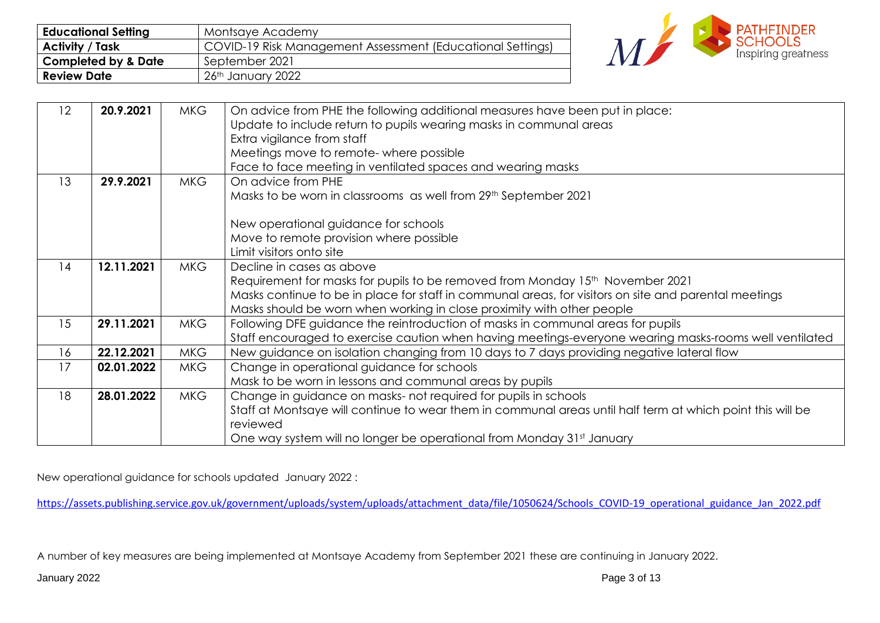| <b>Educational Setting</b>     | Montsaye Academy                                           |
|--------------------------------|------------------------------------------------------------|
| <b>Activity / Task</b>         | COVID-19 Risk Management Assessment (Educational Settings) |
| <b>Completed by &amp; Date</b> | September 2021                                             |
| <b>Review Date</b>             | 26th January 2022                                          |



| 12 | 20.9.2021  | <b>MKG</b> | On advice from PHE the following additional measures have been put in place:                               |
|----|------------|------------|------------------------------------------------------------------------------------------------------------|
|    |            |            | Update to include return to pupils wearing masks in communal areas                                         |
|    |            |            | Extra vigilance from staff                                                                                 |
|    |            |            | Meetings move to remote- where possible                                                                    |
|    |            |            | Face to face meeting in ventilated spaces and wearing masks                                                |
| 13 | 29.9.2021  | <b>MKG</b> | On advice from PHE                                                                                         |
|    |            |            | Masks to be worn in classrooms as well from 29th September 2021                                            |
|    |            |            |                                                                                                            |
|    |            |            | New operational guidance for schools                                                                       |
|    |            |            | Move to remote provision where possible                                                                    |
|    |            |            | Limit visitors onto site                                                                                   |
| 14 | 12.11.2021 | <b>MKG</b> | Decline in cases as above                                                                                  |
|    |            |            | Requirement for masks for pupils to be removed from Monday 15 <sup>th</sup> November 2021                  |
|    |            |            | Masks continue to be in place for staff in communal areas, for visitors on site and parental meetings      |
|    |            |            | Masks should be worn when working in close proximity with other people                                     |
| 15 | 29.11.2021 | <b>MKG</b> | Following DFE guidance the reintroduction of masks in communal areas for pupils                            |
|    |            |            | Staff encouraged to exercise caution when having meetings-everyone wearing masks-rooms well ventilated     |
| 16 | 22.12.2021 | <b>MKG</b> | New guidance on isolation changing from 10 days to 7 days providing negative lateral flow                  |
| 17 | 02.01.2022 | <b>MKG</b> | Change in operational guidance for schools                                                                 |
|    |            |            | Mask to be worn in lessons and communal areas by pupils                                                    |
| 18 | 28.01.2022 | <b>MKG</b> | Change in guidance on masks- not required for pupils in schools                                            |
|    |            |            | Staff at Montsaye will continue to wear them in communal areas until half term at which point this will be |
|    |            |            | reviewed                                                                                                   |
|    |            |            | One way system will no longer be operational from Monday 31st January                                      |

New operational guidance for schools updated January 2022 :

[https://assets.publishing.service.gov.uk/government/uploads/system/uploads/attachment\\_data/file/1050624/Schools\\_COVID-19\\_operational\\_guidance\\_Jan\\_2022.pdf](https://assets.publishing.service.gov.uk/government/uploads/system/uploads/attachment_data/file/1050624/Schools_COVID-19_operational_guidance_Jan_2022.pdf)

A number of key measures are being implemented at Montsaye Academy from September 2021 these are continuing in January 2022.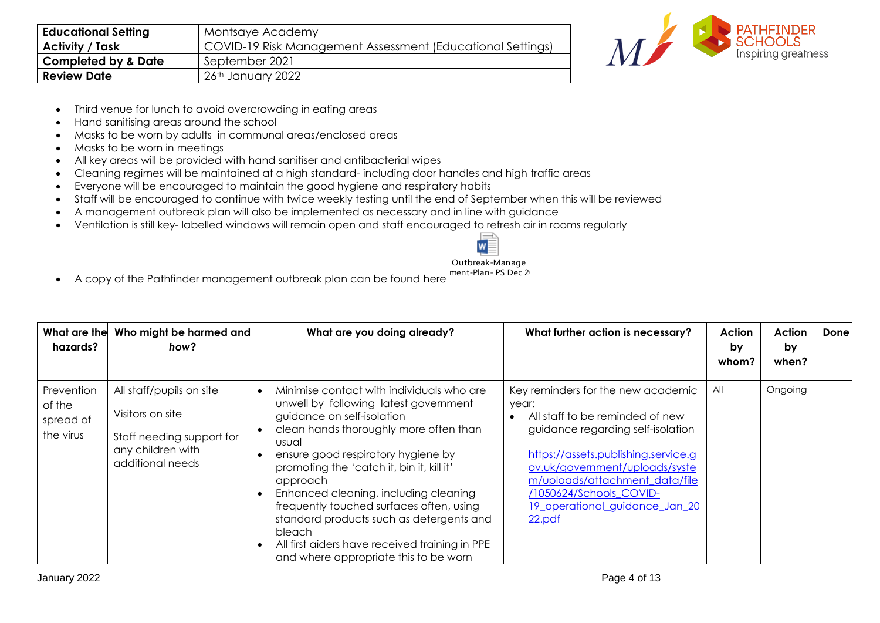| <b>Educational Setting</b>     | Montsaye Academy                                           |
|--------------------------------|------------------------------------------------------------|
| <b>Activity / Task</b>         | COVID-19 Risk Management Assessment (Educational Settings) |
| <b>Completed by &amp; Date</b> | September 2021                                             |
| <b>Review Date</b>             | 26th January 2022                                          |



- Third venue for lunch to avoid overcrowding in eating areas
- Hand sanitising areas around the school
- Masks to be worn by adults in communal areas/enclosed areas
- Masks to be worn in meetings
- All key areas will be provided with hand sanitiser and antibacterial wipes
- Cleaning regimes will be maintained at a high standard- including door handles and high traffic areas
- Everyone will be encouraged to maintain the good hygiene and respiratory habits
- Staff will be encouraged to continue with twice weekly testing until the end of September when this will be reviewed
- A management outbreak plan will also be implemented as necessary and in line with guidance
- Ventilation is still key- labelled windows will remain open and staff encouraged to refresh air in rooms regularly



Outbreak-Manage

• A copy of the Pathfinder management outbreak plan can be found here ment-Plan- PS Dec 2

| What are the<br>hazards?                       | Who might be harmed and<br>how?                                                                                    | What are you doing already?                                                                                                                                                                                                                                                                                                                                                                                                                                                                                     | What further action is necessary?                                                                                                                                                                                                                                                                     | Action<br>by<br>whom? | Action<br>by<br>when? | Done |
|------------------------------------------------|--------------------------------------------------------------------------------------------------------------------|-----------------------------------------------------------------------------------------------------------------------------------------------------------------------------------------------------------------------------------------------------------------------------------------------------------------------------------------------------------------------------------------------------------------------------------------------------------------------------------------------------------------|-------------------------------------------------------------------------------------------------------------------------------------------------------------------------------------------------------------------------------------------------------------------------------------------------------|-----------------------|-----------------------|------|
| Prevention<br>of the<br>spread of<br>the virus | All staff/pupils on site<br>Visitors on site<br>Staff needing support for<br>any children with<br>additional needs | Minimise contact with individuals who are<br>unwell by following latest government<br>guidance on self-isolation<br>clean hands thoroughly more often than<br>usual<br>ensure good respiratory hygiene by<br>promoting the 'catch it, bin it, kill it'<br>approach<br>Enhanced cleaning, including cleaning<br>frequently touched surfaces often, using<br>standard products such as detergents and<br><b>bleach</b><br>All first aiders have received training in PPE<br>and where appropriate this to be worn | Key reminders for the new academic<br>year:<br>All staff to be reminded of new<br>guidance regarding self-isolation<br>https://assets.publishing.service.g<br>ov.uk/government/uploads/syste<br>m/uploads/attachment data/file<br>/1050624/Schools COVID-<br>19_operational_guidance_Jan_20<br>22.pdf | All                   | Ongoing               |      |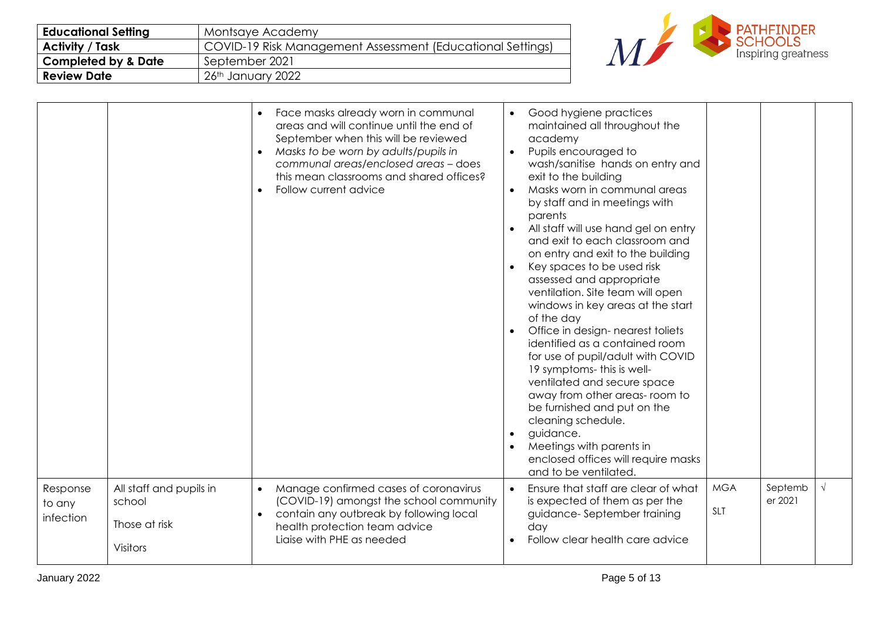| <b>Educational Setting</b>     | Montsaye Academy                                           |
|--------------------------------|------------------------------------------------------------|
| <b>Activity / Task</b>         | COVID-19 Risk Management Assessment (Educational Settings) |
| <b>Completed by &amp; Date</b> | September 2021                                             |
| <b>Review Date</b>             | 26th January 2022                                          |



| Face masks already worn in communal<br>areas and will continue until the end of<br>September when this will be reviewed<br>Masks to be worn by adults/pupils in<br>$\bullet$<br>communal areas/enclosed areas - does<br>this mean classrooms and shared offices?<br>Follow current advice | Good hygiene practices<br>$\bullet$<br>maintained all throughout the<br>academy<br>Pupils encouraged to<br>$\bullet$<br>wash/sanitise hands on entry and<br>exit to the building<br>Masks worn in communal areas<br>$\bullet$<br>by staff and in meetings with<br>parents<br>All staff will use hand gel on entry<br>and exit to each classroom and<br>on entry and exit to the building<br>Key spaces to be used risk<br>assessed and appropriate<br>ventilation. Site team will open<br>windows in key areas at the start<br>of the day<br>Office in design- nearest toliets<br>identified as a contained room<br>for use of pupil/adult with COVID<br>19 symptoms- this is well-<br>ventilated and secure space<br>away from other areas- room to<br>be furnished and put on the<br>cleaning schedule.<br>guidance.<br>Meetings with parents in<br>enclosed offices will require masks |                          |                    |            |
|-------------------------------------------------------------------------------------------------------------------------------------------------------------------------------------------------------------------------------------------------------------------------------------------|-------------------------------------------------------------------------------------------------------------------------------------------------------------------------------------------------------------------------------------------------------------------------------------------------------------------------------------------------------------------------------------------------------------------------------------------------------------------------------------------------------------------------------------------------------------------------------------------------------------------------------------------------------------------------------------------------------------------------------------------------------------------------------------------------------------------------------------------------------------------------------------------|--------------------------|--------------------|------------|
| Manage confirmed cases of coronavirus<br>$\bullet$<br>(COVID-19) amongst the school community<br>contain any outbreak by following local<br>$\bullet$<br>health protection team advice<br>Ligise with PHE as needed                                                                       | Ensure that staff are clear of what<br>$\bullet$<br>is expected of them as per the<br>guidance-September training<br>day<br>Follow clear health care advice                                                                                                                                                                                                                                                                                                                                                                                                                                                                                                                                                                                                                                                                                                                               | <b>MGA</b><br><b>SLT</b> | Septemb<br>er 2021 | $\sqrt{ }$ |
|                                                                                                                                                                                                                                                                                           |                                                                                                                                                                                                                                                                                                                                                                                                                                                                                                                                                                                                                                                                                                                                                                                                                                                                                           | and to be ventilated     |                    |            |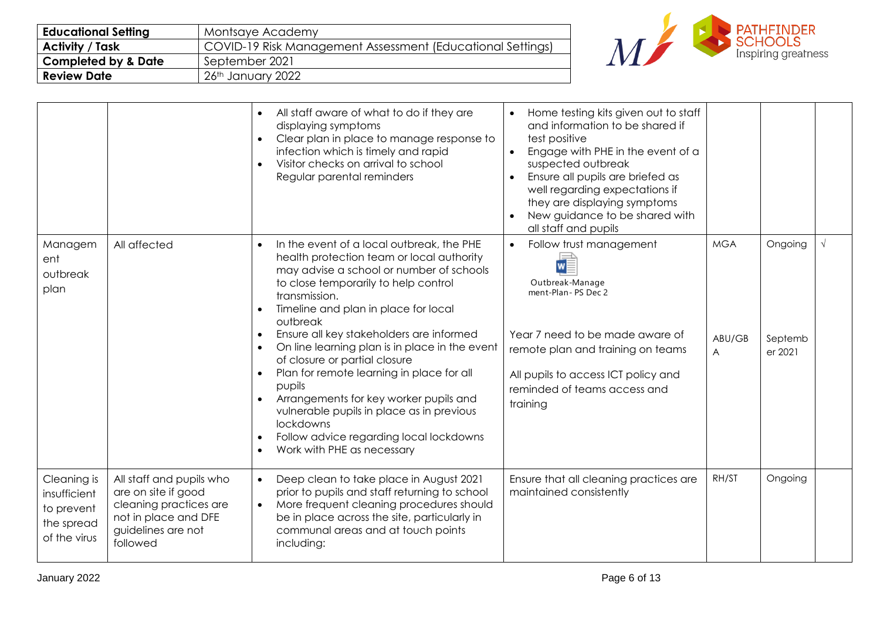| <b>Educational Setting</b>     | Montsaye Academy                                           |
|--------------------------------|------------------------------------------------------------|
| <b>Activity / Task</b>         | COVID-19 Risk Management Assessment (Educational Settings) |
| <b>Completed by &amp; Date</b> | September 2021                                             |
| <b>Review Date</b>             | 26th January 2022                                          |



<span id="page-5-0"></span>

|                                                                         |                                                                                                                                     | All staff aware of what to do if they are<br>$\bullet$<br>displaying symptoms<br>Clear plan in place to manage response to<br>infection which is timely and rapid<br>Visitor checks on arrival to school<br>Regular parental reminders                                                                                                                                                                                                                                                                                                                                                                                                       | Home testing kits given out to staff<br>and information to be shared if<br>test positive<br>Engage with PHE in the event of a<br>$\bullet$<br>suspected outbreak<br>Ensure all pupils are briefed as<br>$\bullet$<br>well regarding expectations if<br>they are displaying symptoms<br>New guidance to be shared with<br>all staff and pupils |                           |                               |            |
|-------------------------------------------------------------------------|-------------------------------------------------------------------------------------------------------------------------------------|----------------------------------------------------------------------------------------------------------------------------------------------------------------------------------------------------------------------------------------------------------------------------------------------------------------------------------------------------------------------------------------------------------------------------------------------------------------------------------------------------------------------------------------------------------------------------------------------------------------------------------------------|-----------------------------------------------------------------------------------------------------------------------------------------------------------------------------------------------------------------------------------------------------------------------------------------------------------------------------------------------|---------------------------|-------------------------------|------------|
| Managem<br>ent<br>outbreak<br>plan                                      | All affected                                                                                                                        | In the event of a local outbreak, the PHE<br>$\bullet$<br>health protection team or local authority<br>may advise a school or number of schools<br>to close temporarily to help control<br>transmission.<br>Timeline and plan in place for local<br>outbreak<br>Ensure all key stakeholders are informed<br>On line learning plan is in place in the event<br>of closure or partial closure<br>Plan for remote learning in place for all<br>pupils<br>Arrangements for key worker pupils and<br>$\bullet$<br>vulnerable pupils in place as in previous<br>lockdowns<br>Follow advice regarding local lockdowns<br>Work with PHE as necessary | Follow trust management<br>$\bullet$<br>Outbreak-Manage<br>ment-Plan-PS Dec 2<br>Year 7 need to be made aware of<br>remote plan and training on teams<br>All pupils to access ICT policy and<br>reminded of teams access and<br>training                                                                                                      | <b>MGA</b><br>ABU/GB<br>A | Ongoing<br>Septemb<br>er 2021 | $\sqrt{ }$ |
| Cleaning is<br>insufficient<br>to prevent<br>the spread<br>of the virus | All staff and pupils who<br>are on site if good<br>cleaning practices are<br>not in place and DFE<br>guidelines are not<br>followed | Deep clean to take place in August 2021<br>$\bullet$<br>prior to pupils and staff returning to school<br>More frequent cleaning procedures should<br>$\bullet$<br>be in place across the site, particularly in<br>communal areas and at touch points<br>including:                                                                                                                                                                                                                                                                                                                                                                           | Ensure that all cleaning practices are<br>maintained consistently                                                                                                                                                                                                                                                                             | RH/ST                     | Ongoing                       |            |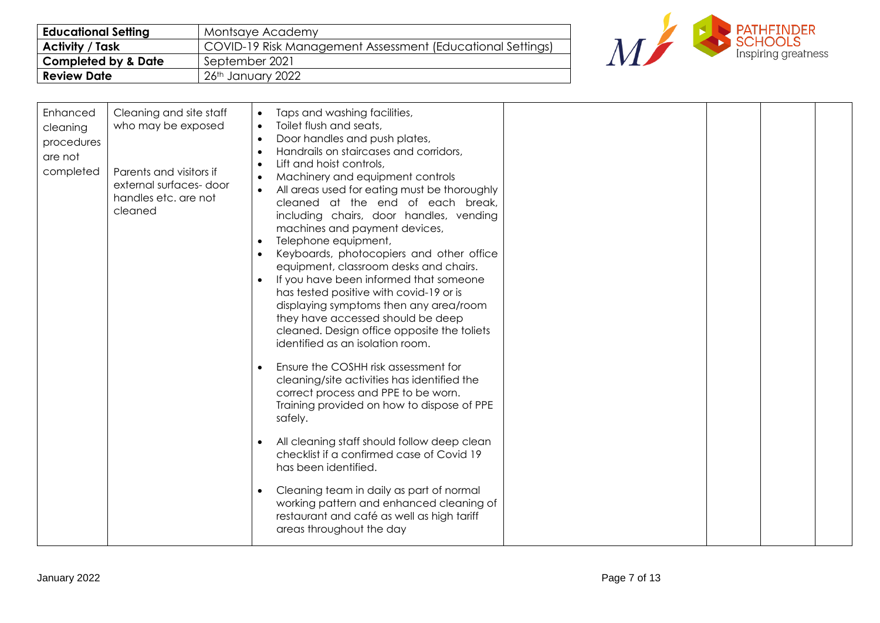| <b>Educational Setting</b>     | Montsaye Academy                                           |
|--------------------------------|------------------------------------------------------------|
| <b>Activity / Task</b>         | COVID-19 Risk Management Assessment (Educational Settings) |
| <b>Completed by &amp; Date</b> | September 2021                                             |
| <b>Review Date</b>             | 26th January 2022                                          |



| Enhanced<br>Cleaning and site staff<br>Taps and washing facilities,<br>$\bullet$<br>Toilet flush and seats,<br>who may be exposed<br>$\bullet$<br>cleaning<br>Door handles and push plates,<br>$\bullet$<br>procedures<br>Handrails on staircases and corridors,<br>$\bullet$<br>are not<br>Lift and hoist controls,<br>$\bullet$<br>completed<br>Parents and visitors if<br>Machinery and equipment controls<br>$\bullet$<br>external surfaces-door<br>All areas used for eating must be thoroughly<br>$\bullet$<br>handles etc. are not<br>cleaned at the end of each break,<br>cleaned<br>including chairs, door handles, vending<br>machines and payment devices,<br>Telephone equipment,<br>$\bullet$<br>Keyboards, photocopiers and other office<br>$\bullet$<br>equipment, classroom desks and chairs.<br>If you have been informed that someone<br>has tested positive with covid-19 or is<br>displaying symptoms then any area/room<br>they have accessed should be deep<br>cleaned. Design office opposite the toliets<br>identified as an isolation room.<br>Ensure the COSHH risk assessment for<br>$\bullet$<br>cleaning/site activities has identified the<br>correct process and PPE to be worn.<br>Training provided on how to dispose of PPE<br>safely.<br>All cleaning staff should follow deep clean<br>$\bullet$<br>checklist if a confirmed case of Covid 19<br>has been identified.<br>Cleaning team in daily as part of normal<br>$\bullet$<br>working pattern and enhanced cleaning of<br>restaurant and café as well as high tariff<br>areas throughout the day |  |  |  |  |
|------------------------------------------------------------------------------------------------------------------------------------------------------------------------------------------------------------------------------------------------------------------------------------------------------------------------------------------------------------------------------------------------------------------------------------------------------------------------------------------------------------------------------------------------------------------------------------------------------------------------------------------------------------------------------------------------------------------------------------------------------------------------------------------------------------------------------------------------------------------------------------------------------------------------------------------------------------------------------------------------------------------------------------------------------------------------------------------------------------------------------------------------------------------------------------------------------------------------------------------------------------------------------------------------------------------------------------------------------------------------------------------------------------------------------------------------------------------------------------------------------------------------------------------------------------------------------------------|--|--|--|--|
|------------------------------------------------------------------------------------------------------------------------------------------------------------------------------------------------------------------------------------------------------------------------------------------------------------------------------------------------------------------------------------------------------------------------------------------------------------------------------------------------------------------------------------------------------------------------------------------------------------------------------------------------------------------------------------------------------------------------------------------------------------------------------------------------------------------------------------------------------------------------------------------------------------------------------------------------------------------------------------------------------------------------------------------------------------------------------------------------------------------------------------------------------------------------------------------------------------------------------------------------------------------------------------------------------------------------------------------------------------------------------------------------------------------------------------------------------------------------------------------------------------------------------------------------------------------------------------------|--|--|--|--|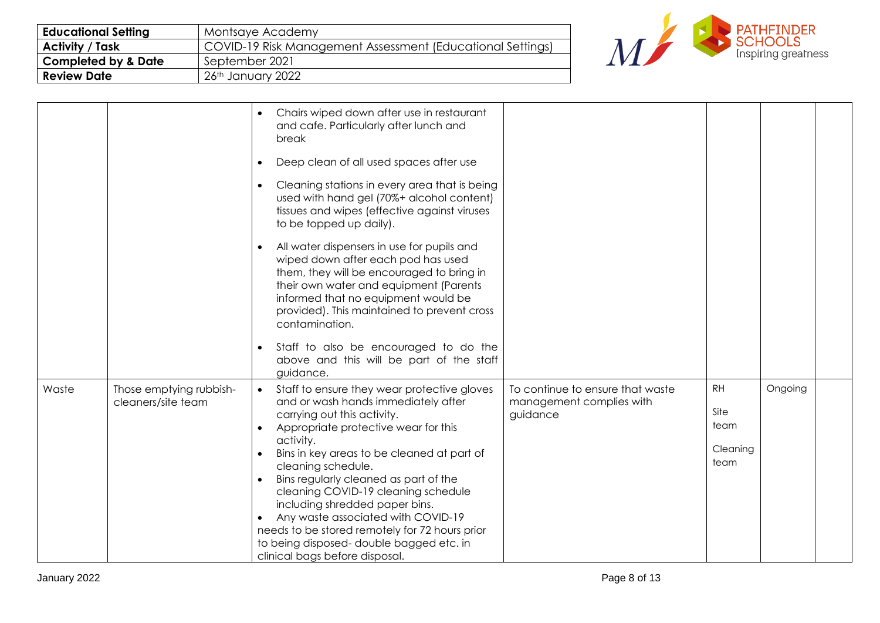| <b>Educational Setting</b>     | Montsaye Academy                                           |
|--------------------------------|------------------------------------------------------------|
| <b>Activity / Task</b>         | COVID-19 Risk Management Assessment (Educational Settings) |
| <b>Completed by &amp; Date</b> | September 2021                                             |
| <b>Review Date</b>             | 26th January 2022                                          |



|       |                                               | Chairs wiped down after use in restaurant<br>$\bullet$<br>and cafe. Particularly after lunch and<br>break                                                                                                                                                                                                                                                                                                                                                                                                                                                                             |                                                                          |                                               |         |  |
|-------|-----------------------------------------------|---------------------------------------------------------------------------------------------------------------------------------------------------------------------------------------------------------------------------------------------------------------------------------------------------------------------------------------------------------------------------------------------------------------------------------------------------------------------------------------------------------------------------------------------------------------------------------------|--------------------------------------------------------------------------|-----------------------------------------------|---------|--|
|       |                                               | Deep clean of all used spaces after use<br>$\bullet$                                                                                                                                                                                                                                                                                                                                                                                                                                                                                                                                  |                                                                          |                                               |         |  |
|       |                                               | Cleaning stations in every area that is being<br>$\bullet$<br>used with hand gel (70%+ alcohol content)<br>tissues and wipes (effective against viruses<br>to be topped up daily).                                                                                                                                                                                                                                                                                                                                                                                                    |                                                                          |                                               |         |  |
|       |                                               | All water dispensers in use for pupils and<br>$\bullet$<br>wiped down after each pod has used<br>them, they will be encouraged to bring in<br>their own water and equipment (Parents<br>informed that no equipment would be<br>provided). This maintained to prevent cross<br>contamination.                                                                                                                                                                                                                                                                                          |                                                                          |                                               |         |  |
|       |                                               | Staff to also be encouraged to do the<br>$\bullet$<br>above and this will be part of the staff<br>guidance.                                                                                                                                                                                                                                                                                                                                                                                                                                                                           |                                                                          |                                               |         |  |
| Waste | Those emptying rubbish-<br>cleaners/site team | Staff to ensure they wear protective gloves<br>$\bullet$<br>and or wash hands immediately after<br>carrying out this activity.<br>Appropriate protective wear for this<br>$\bullet$<br>activity.<br>Bins in key areas to be cleaned at part of<br>$\bullet$<br>cleaning schedule.<br>Bins regularly cleaned as part of the<br>$\bullet$<br>cleaning COVID-19 cleaning schedule<br>including shredded paper bins.<br>Any waste associated with COVID-19<br>needs to be stored remotely for 72 hours prior<br>to being disposed-double bagged etc. in<br>clinical bags before disposal. | To continue to ensure that waste<br>management complies with<br>guidance | <b>RH</b><br>Site<br>team<br>Cleaning<br>team | Ongoing |  |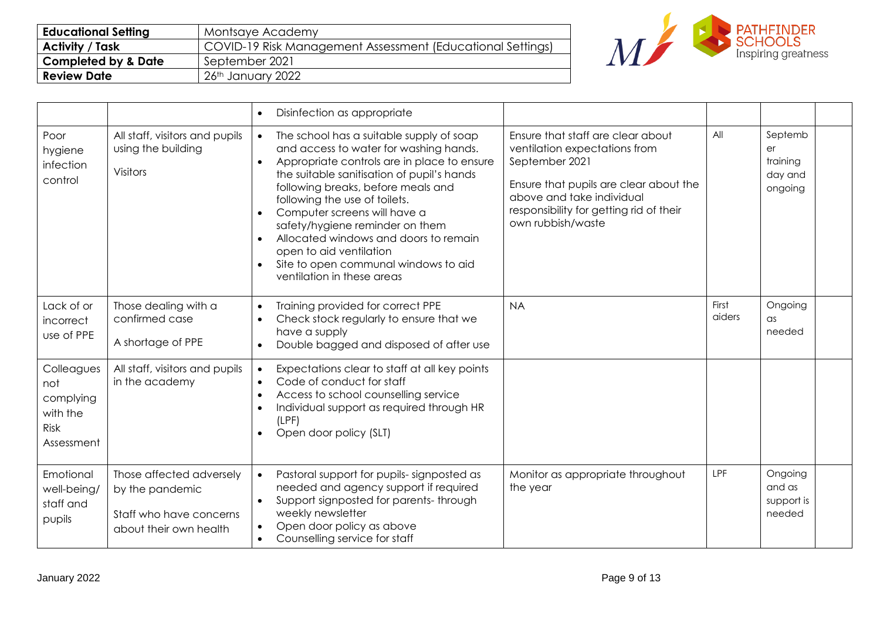| <b>Educational Setting</b>     | Montsaye Academy                                           |
|--------------------------------|------------------------------------------------------------|
| <b>Activity / Task</b>         | COVID-19 Risk Management Assessment (Educational Settings) |
| <b>Completed by &amp; Date</b> | September 2021                                             |
| <b>Review Date</b>             | 26th January 2022                                          |



|                                                                         |                                                                                                  | Disinfection as appropriate<br>$\bullet$                                                                                                                                                                                                                                                                                                                                                                                                                                                                                |                                                                                                                                                                                                                             |                 |                                                 |
|-------------------------------------------------------------------------|--------------------------------------------------------------------------------------------------|-------------------------------------------------------------------------------------------------------------------------------------------------------------------------------------------------------------------------------------------------------------------------------------------------------------------------------------------------------------------------------------------------------------------------------------------------------------------------------------------------------------------------|-----------------------------------------------------------------------------------------------------------------------------------------------------------------------------------------------------------------------------|-----------------|-------------------------------------------------|
| Poor<br>hygiene<br>infection<br>control                                 | All staff, visitors and pupils<br>using the building<br><b>Visitors</b>                          | The school has a suitable supply of soap<br>$\bullet$<br>and access to water for washing hands.<br>Appropriate controls are in place to ensure<br>$\bullet$<br>the suitable sanitisation of pupil's hands<br>following breaks, before meals and<br>following the use of toilets.<br>Computer screens will have a<br>$\bullet$<br>safety/hygiene reminder on them<br>Allocated windows and doors to remain<br>open to aid ventilation<br>Site to open communal windows to aid<br>$\bullet$<br>ventilation in these areas | Ensure that staff are clear about<br>ventilation expectations from<br>September 2021<br>Ensure that pupils are clear about the<br>above and take individual<br>responsibility for getting rid of their<br>own rubbish/waste | All             | Septemb<br>er<br>training<br>day and<br>ongoing |
| Lack of or<br>incorrect<br>use of PPE                                   | Those dealing with a<br>confirmed case<br>A shortage of PPE                                      | Training provided for correct PPE<br>$\bullet$<br>Check stock regularly to ensure that we<br>$\bullet$<br>have a supply<br>Double bagged and disposed of after use<br>$\bullet$                                                                                                                                                                                                                                                                                                                                         | <b>NA</b>                                                                                                                                                                                                                   | First<br>aiders | Ongoing<br>$\alpha$ s<br>needed                 |
| Colleagues<br>not<br>complying<br>with the<br><b>Risk</b><br>Assessment | All staff, visitors and pupils<br>in the academy                                                 | Expectations clear to staff at all key points<br>$\bullet$<br>Code of conduct for staff<br>Access to school counselling service<br>Individual support as required through HR<br>$\bullet$<br>(LPF)<br>Open door policy (SLT)                                                                                                                                                                                                                                                                                            |                                                                                                                                                                                                                             |                 |                                                 |
| Emotional<br>well-being/<br>staff and<br>pupils                         | Those affected adversely<br>by the pandemic<br>Staff who have concerns<br>about their own health | Pastoral support for pupils-signposted as<br>$\bullet$<br>needed and agency support if required<br>Support signposted for parents-through<br>$\bullet$<br>weekly newsletter<br>Open door policy as above<br>$\bullet$<br>Counselling service for staff<br>$\bullet$                                                                                                                                                                                                                                                     | Monitor as appropriate throughout<br>the year                                                                                                                                                                               | <b>LPF</b>      | Ongoing<br>and as<br>support is<br>needed       |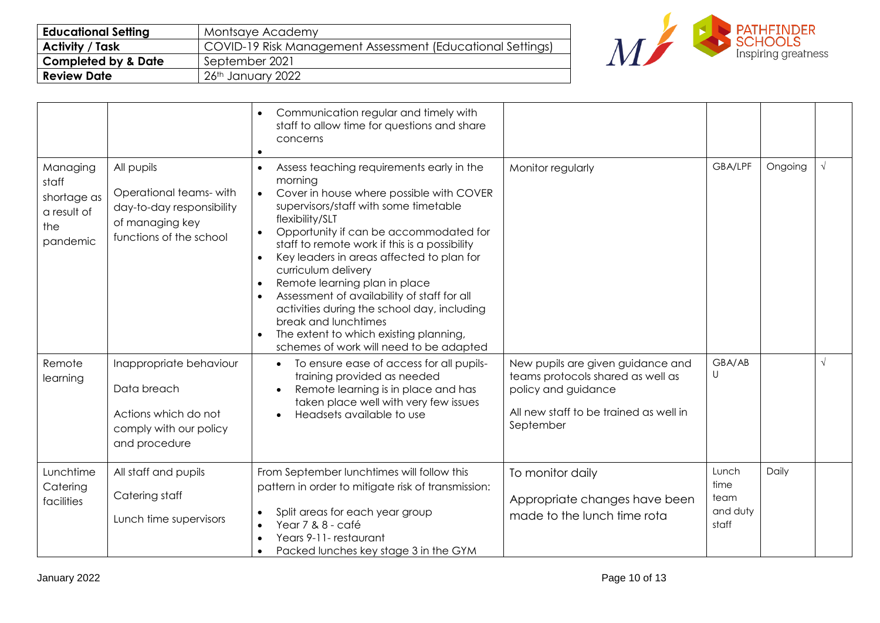| <b>Educational Setting</b>     | Montsaye Academy                                           |
|--------------------------------|------------------------------------------------------------|
| <b>Activity / Task</b>         | COVID-19 Risk Management Assessment (Educational Settings) |
| <b>Completed by &amp; Date</b> | September 2021                                             |
| <b>Review Date</b>             | 26th January 2022                                          |



|                                                                    |                                                                                                                 | Communication regular and timely with<br>$\bullet$<br>staff to allow time for questions and share<br>concerns<br>$\bullet$                                                                                                                                                                                                                                                                                                                                                                                                                                                                                                  |                                                                                                                                                      |                                            |         |            |
|--------------------------------------------------------------------|-----------------------------------------------------------------------------------------------------------------|-----------------------------------------------------------------------------------------------------------------------------------------------------------------------------------------------------------------------------------------------------------------------------------------------------------------------------------------------------------------------------------------------------------------------------------------------------------------------------------------------------------------------------------------------------------------------------------------------------------------------------|------------------------------------------------------------------------------------------------------------------------------------------------------|--------------------------------------------|---------|------------|
| Managing<br>staff<br>shortage as<br>a result of<br>the<br>pandemic | All pupils<br>Operational teams-with<br>day-to-day responsibility<br>of managing key<br>functions of the school | Assess teaching requirements early in the<br>morning<br>Cover in house where possible with COVER<br>$\bullet$<br>supervisors/staff with some timetable<br>flexibility/SLT<br>Opportunity if can be accommodated for<br>$\bullet$<br>staff to remote work if this is a possibility<br>Key leaders in areas affected to plan for<br>$\bullet$<br>curriculum delivery<br>Remote learning plan in place<br>Assessment of availability of staff for all<br>$\bullet$<br>activities during the school day, including<br>break and lunchtimes<br>The extent to which existing planning,<br>schemes of work will need to be adapted | Monitor regularly                                                                                                                                    | GBA/LPF                                    | Ongoing | $\sqrt{ }$ |
| Remote<br>learning                                                 | Inappropriate behaviour<br>Data breach<br>Actions which do not<br>comply with our policy<br>and procedure       | To ensure ease of access for all pupils-<br>training provided as needed<br>Remote learning is in place and has<br>taken place well with very few issues<br>Headsets available to use                                                                                                                                                                                                                                                                                                                                                                                                                                        | New pupils are given guidance and<br>teams protocols shared as well as<br>policy and guidance<br>All new staff to be trained as well in<br>September | GBA/AB<br>U                                |         | $\sqrt{ }$ |
| Lunchtime<br>Catering<br>facilities                                | All staff and pupils<br>Catering staff<br>Lunch time supervisors                                                | From September lunchtimes will follow this<br>pattern in order to mitigate risk of transmission:<br>Split areas for each year group<br>Year 7 & 8 - café<br>$\bullet$<br>Years 9-11-restaurant<br>$\bullet$<br>Packed lunches key stage 3 in the GYM<br>$\bullet$                                                                                                                                                                                                                                                                                                                                                           | To monitor daily<br>Appropriate changes have been<br>made to the lunch time rota                                                                     | Lunch<br>time<br>team<br>and duty<br>staff | Daily   |            |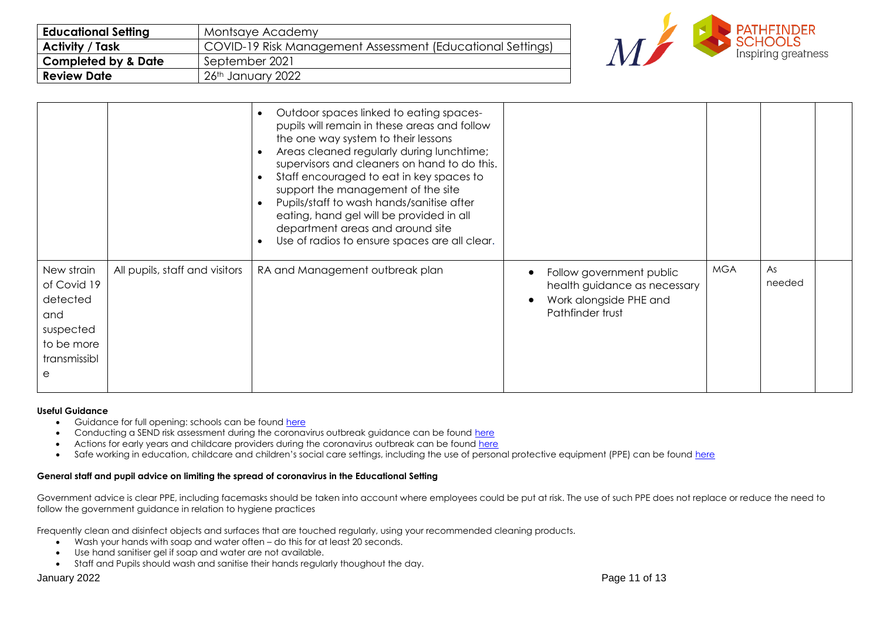| <b>Educational Setting</b>     | Montsaye Academy                                           |
|--------------------------------|------------------------------------------------------------|
| <b>Activity / Task</b>         | COVID-19 Risk Management Assessment (Educational Settings) |
| <b>Completed by &amp; Date</b> | September 2021                                             |
| <b>Review Date</b>             | $26th$ January 2022                                        |



|                                                                                              |                                | Outdoor spaces linked to eating spaces-<br>$\bullet$<br>pupils will remain in these areas and follow<br>the one way system to their lessons<br>Areas cleaned regularly during lunchtime;<br>supervisors and cleaners on hand to do this.<br>Staff encouraged to eat in key spaces to<br>$\bullet$<br>support the management of the site<br>Pupils/staff to wash hands/sanitise after<br>$\bullet$<br>eating, hand gel will be provided in all<br>department areas and around site<br>Use of radios to ensure spaces are all clear. |                                                                                                        |            |              |  |
|----------------------------------------------------------------------------------------------|--------------------------------|------------------------------------------------------------------------------------------------------------------------------------------------------------------------------------------------------------------------------------------------------------------------------------------------------------------------------------------------------------------------------------------------------------------------------------------------------------------------------------------------------------------------------------|--------------------------------------------------------------------------------------------------------|------------|--------------|--|
| New strain<br>of Covid 19<br>detected<br>and<br>suspected<br>to be more<br>transmissibl<br>e | All pupils, staff and visitors | RA and Management outbreak plan                                                                                                                                                                                                                                                                                                                                                                                                                                                                                                    | Follow government public<br>health guidance as necessary<br>Work alongside PHE and<br>Pathfinder trust | <b>MGA</b> | As<br>needed |  |

#### **Useful Guidance**

- Guidance for full opening: schools can be found [here](https://www.gov.uk/government/publications/actions-for-schools-during-the-coronavirus-outbreak/guidance-for-full-opening-schools)
- Conducting a SEND risk assessment during the coronavirus outbreak guidance can be found [here](https://www.gov.uk/government/publications/coronavirus-covid-19-send-risk-assessment-guidance)
- Actions for early years and childcare providers during the coronavirus outbreak can be found [here](https://www.gov.uk/government/publications/coronavirus-covid-19-early-years-and-childcare-closures/coronavirus-covid-19-early-years-and-childcare-closures)
- Safe working in education, childcare and children's social care settings, including the use of personal protective equipment (PPE) can be found [here](https://www.gov.uk/government/publications/safe-working-in-education-childcare-and-childrens-social-care/safe-working-in-education-childcare-and-childrens-social-care-settings-including-the-use-of-personal-protective-equipment-ppe)

### **General staff and pupil advice on limiting the spread of coronavirus in the Educational Setting**

Government advice is clear PPE, including facemasks should be taken into account where employees could be put at risk. The use of such PPE does not replace or reduce the need to follow the government guidance in relation to hygiene practices

Frequently clean and disinfect objects and surfaces that are touched regularly, using your recommended cleaning products.

- Wash your hands with soap and water often do this for at least 20 seconds.
- Use hand sanitiser gel if soap and water are not available.
- Staff and Pupils should wash and sanitise their hands regularly thoughout the day.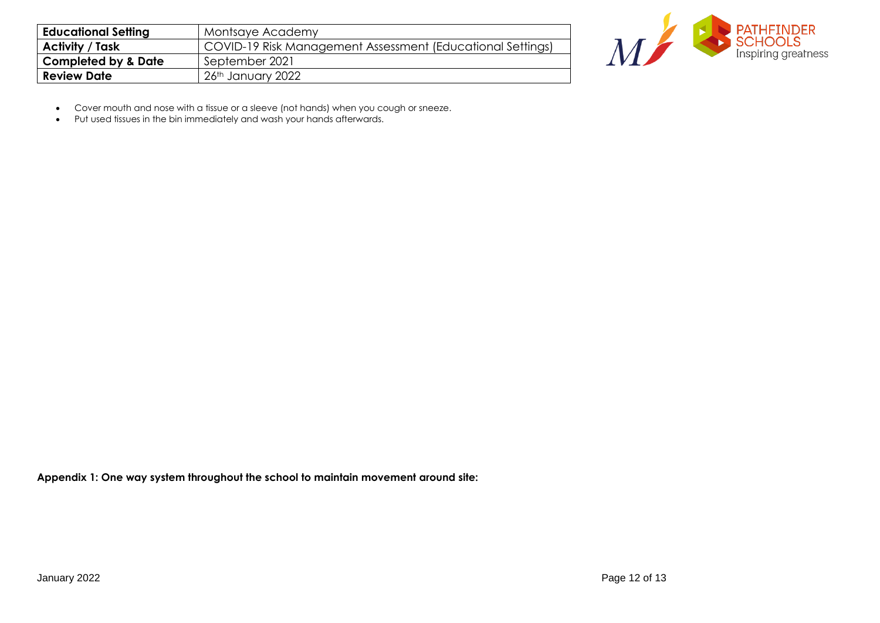| <b>Educational Setting</b>     | Montsaye Academy                                           |
|--------------------------------|------------------------------------------------------------|
| <b>Activity / Task</b>         | COVID-19 Risk Management Assessment (Educational Settings) |
| <b>Completed by &amp; Date</b> | September 2021                                             |
| <b>Review Date</b>             | 26th January 2022                                          |



- Cover mouth and nose with a tissue or a sleeve (not hands) when you cough or sneeze.
- Put used tissues in the bin immediately and wash your hands afterwards.

**Appendix 1: One way system throughout the school to maintain movement around site:**